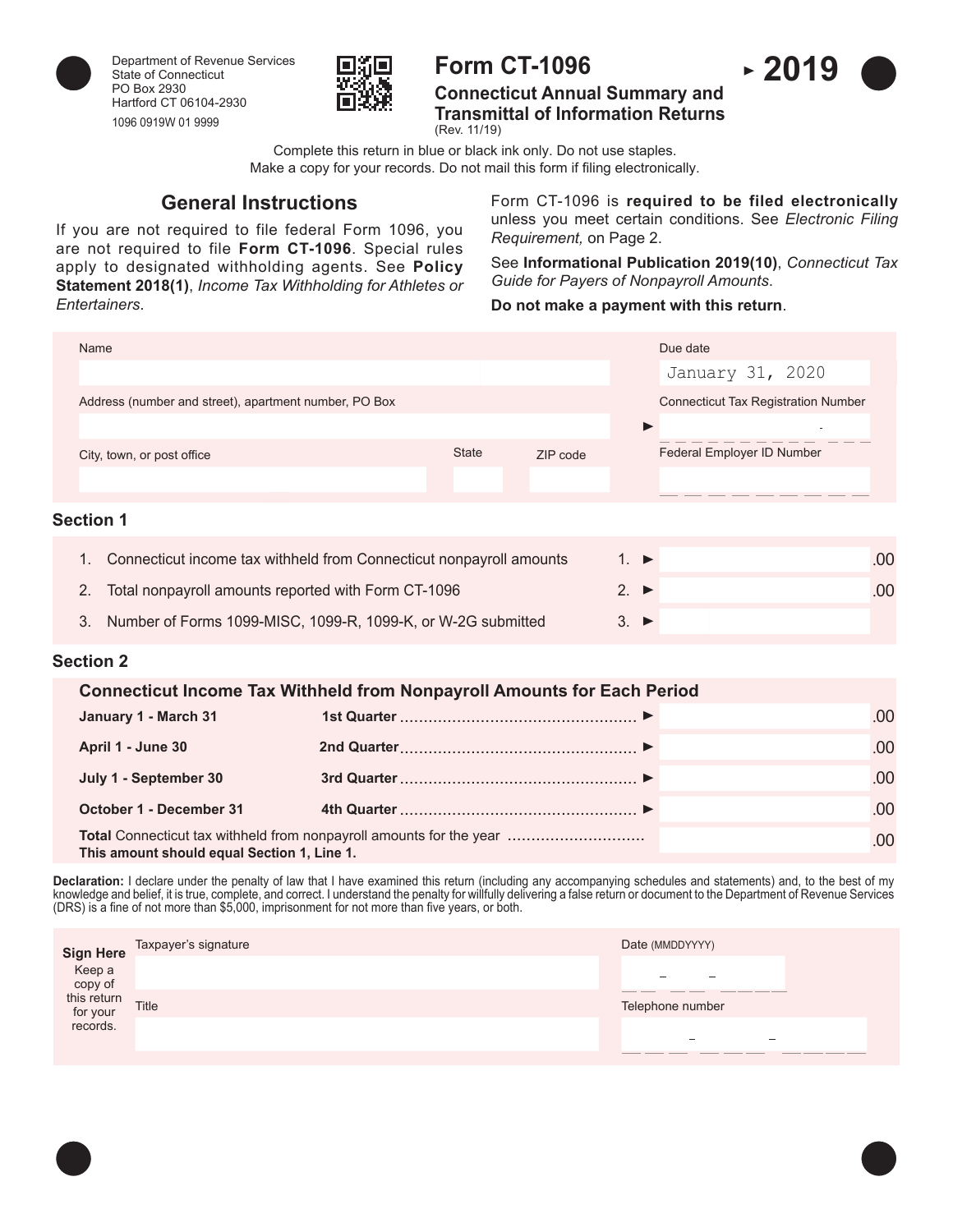



# **Form CT-1096**

**Connecticut Annual Summary and Transmittal of Information Returns** (Rev. 11/19)

Complete this return in blue or black ink only. Do not use staples. Make a copy for your records. Do not mail this form if filing electronically.

# **General Instructions**

If you are not required to file federal Form 1096, you are not required to file **Form CT-1096**. Special rules apply to designated withholding agents. See **Policy Statement 2018(1)**, *Income Tax Withholding for Athletes or Entertainers*.

Form CT-1096 is **required to be filed electronically** unless you meet certain conditions. See *Electronic Filing Requirement,* on Page 2.

See **Informational Publication 2019(10)**, *Connecticut Tax Guide for Payers of Nonpayroll Amounts*.

### **Do not make a payment with this return**.

| Name                                                  |              |          | Due date                                   |
|-------------------------------------------------------|--------------|----------|--------------------------------------------|
|                                                       |              |          | January 31, 2020                           |
| Address (number and street), apartment number, PO Box |              |          | <b>Connecticut Tax Registration Number</b> |
|                                                       |              |          |                                            |
| City, town, or post office                            | <b>State</b> | ZIP code | Federal Employer ID Number                 |
|                                                       |              |          |                                            |
| <b>Section 1</b>                                      |              |          |                                            |

1. Connecticut income tax withheld from Connecticut nonpayroll amounts  $1. \triangleright$  ... 2. Total nonpayroll amounts reported with Form CT-1096 2. .00 3. Number of Forms 1099-MISC, 1099-R, 1099-K, or W-2G submitted 3.

# **Section 2**

|                                                                                                                           | <b>Connecticut Income Tax Withheld from Nonpayroll Amounts for Each Period</b> |      |
|---------------------------------------------------------------------------------------------------------------------------|--------------------------------------------------------------------------------|------|
| January 1 - March 31                                                                                                      |                                                                                | .00  |
| April 1 - June 30                                                                                                         |                                                                                | .00. |
| July 1 - September 30                                                                                                     |                                                                                | .00. |
| <b>October 1 - December 31</b>                                                                                            |                                                                                | .00. |
| <b>Total</b> Connecticut tax withheld from nonpayroll amounts for the year<br>This amount should equal Section 1, Line 1. |                                                                                | .00. |

**Declaration:** I declare under the penalty of law that I have examined this return (including any accompanying schedules and statements) and, to the best of my knowledge and belief, it is true, complete, and correct. I understand the penalty for willfully delivering a false return or document to the Department of Revenue Services (DRS) is a fine of not more than \$5,000, imprisonment for not more than five years, or both.

| art Here Taxpayer's signature<br>copy of<br>this return<br>for your<br>records. |              | Date (MMDDYYYY)                      |
|---------------------------------------------------------------------------------|--------------|--------------------------------------|
|                                                                                 |              |                                      |
|                                                                                 | <b>Title</b> | ______<br>______<br>Telephone number |
|                                                                                 |              | -<br>-                               |
|                                                                                 |              | ________<br>_______                  |